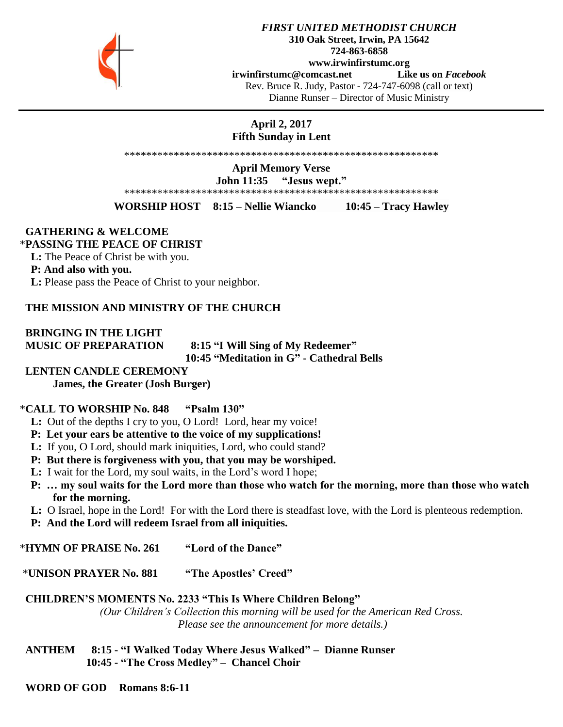

## *FIRST UNITED METHODIST CHURCH* **310 Oak Street, Irwin, PA 15642 724-863-6858 www.irwinfirstumc.org [irwinfirstumc@comcast.net](mailto:irwinfirstumc@comcast.net) Like us on** *Facebook* Rev. Bruce R. Judy, Pastor - 724-747-6098 (call or text) Dianne Runser – Director of Music Ministry

**April 2, 2017 Fifth Sunday in Lent**

\*\*\*\*\*\*\*\*\*\*\*\*\*\*\*\*\*\*\*\*\*\*\*\*\*\*\*\*\*\*\*\*\*\*\*\*\*\*\*\*\*\*\*\*\*\*\*\*\*\*\*\*\*\*\*\*\*

**April Memory Verse John 11:35 "Jesus wept."** \*\*\*\*\*\*\*\*\*\*\*\*\*\*\*\*\*\*\*\*\*\*\*\*\*\*\*\*\*\*\*\*\*\*\*\*\*\*\*\*\*\*\*\*\*\*\*\*\*\*\*\*\*\*\*\*\*

**WORSHIP HOST 8:15 – Nellie Wiancko 10:45 – Tracy Hawley**

## **GATHERING & WELCOME**

### \***PASSING THE PEACE OF CHRIST**

 **L:** The Peace of Christ be with you.

 **P: And also with you.**

 **L:** Please pass the Peace of Christ to your neighbor.

## **THE MISSION AND MINISTRY OF THE CHURCH**

**BRINGING IN THE LIGHT**

 **MUSIC OF PREPARATION 8:15 "I Will Sing of My Redeemer" 10:45 "Meditation in G" - Cathedral Bells**

## **LENTEN CANDLE CEREMONY**

**James, the Greater (Josh Burger)**

## \***CALL TO WORSHIP No. 848 "Psalm 130"**

- **L:** Out of the depths I cry to you, O Lord! Lord, hear my voice!
- **P: Let your ears be attentive to the voice of my supplications!**
- **L:** If you, O Lord, should mark iniquities, Lord, who could stand?
- **P: But there is forgiveness with you, that you may be worshiped.**
- **L:** I wait for the Lord, my soul waits, in the Lord's word I hope;
- **P: … my soul waits for the Lord more than those who watch for the morning, more than those who watch for the morning.**
- **L:** O Israel, hope in the Lord! For with the Lord there is steadfast love, with the Lord is plenteous redemption.
- **P: And the Lord will redeem Israel from all iniquities.**

\***HYMN OF PRAISE No. 261 "Lord of the Dance"**

\***UNISON PRAYER No. 881 "The Apostles' Creed"**

## **CHILDREN'S MOMENTS No. 2233 "This Is Where Children Belong"**

*(Our Children's Collection this morning will be used for the American Red Cross. Please see the announcement for more details.)*

 **ANTHEM 8:15 - "I Walked Today Where Jesus Walked" – Dianne Runser 10:45 - "The Cross Medley" – Chancel Choir**

 **WORD OF GOD Romans 8:6-11**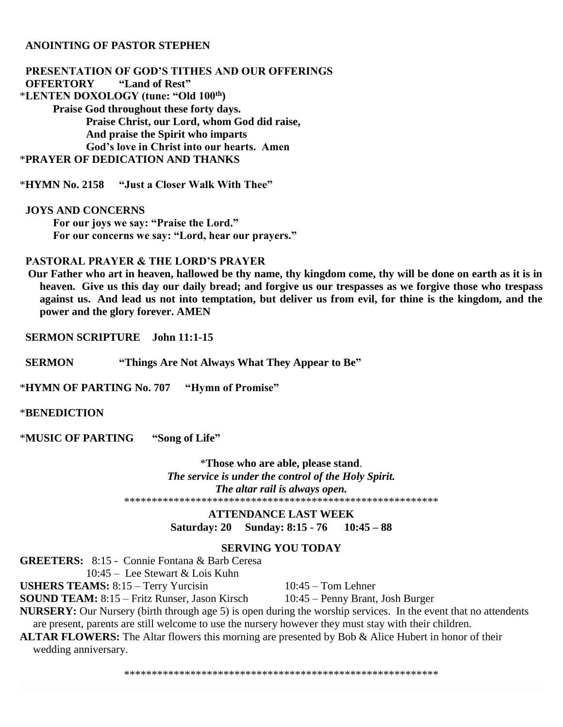## **ANOINTING OF PASTOR STEPHEN**

 **PRESENTATION OF GOD'S TITHES AND OUR OFFERINGS OFFERTORY "Land of Rest"** \***LENTEN DOXOLOGY (tune: "Old 100th) Praise God throughout these forty days. Praise Christ, our Lord, whom God did raise, And praise the Spirit who imparts God's love in Christ into our hearts. Amen** \***PRAYER OF DEDICATION AND THANKS**

\***HYMN No. 2158 "Just a Closer Walk With Thee"**

 **JOYS AND CONCERNS For our joys we say: "Praise the Lord." For our concerns we say: "Lord, hear our prayers."**

## **PASTORAL PRAYER & THE LORD'S PRAYER**

 **Our Father who art in heaven, hallowed be thy name, thy kingdom come, thy will be done on earth as it is in heaven. Give us this day our daily bread; and forgive us our trespasses as we forgive those who trespass against us. And lead us not into temptation, but deliver us from evil, for thine is the kingdom, and the power and the glory forever. AMEN**

 **SERMON SCRIPTURE John 11:1-15**

 **SERMON "Things Are Not Always What They Appear to Be"**

\***HYMN OF PARTING No. 707 "Hymn of Promise"**

\***BENEDICTION** 

\***MUSIC OF PARTING "Song of Life"**

\***Those who are able, please stand**. *The service is under the control of the Holy Spirit. The altar rail is always open.* \*\*\*\*\*\*\*\*\*\*\*\*\*\*\*\*\*\*\*\*\*\*\*\*\*\*\*\*\*\*\*\*\*\*\*\*\*\*\*\*\*\*\*\*\*\*\*\*\*\*\*\*\*\*\*\*\*

> **ATTENDANCE LAST WEEK Saturday: 20 Sunday: 8:15 - 76 10:45 – 88**

## **SERVING YOU TODAY**

**GREETERS:** 8:15 - Connie Fontana & Barb Ceresa

10:45 – Lee Stewart & Lois Kuhn

USHERS TEAMS: 8:15 – Terry Yurcisin 10:45 – Tom Lehner

**SOUND TEAM:** 8:15 – Fritz Runser, Jason Kirsch 10:45 – Penny Brant, Josh Burger

**NURSERY:** Our Nursery (birth through age 5) is open during the worship services. In the event that no attendents are present, parents are still welcome to use the nursery however they must stay with their children.

**ALTAR FLOWERS:** The Altar flowers this morning are presented by Bob & Alice Hubert in honor of their wedding anniversary.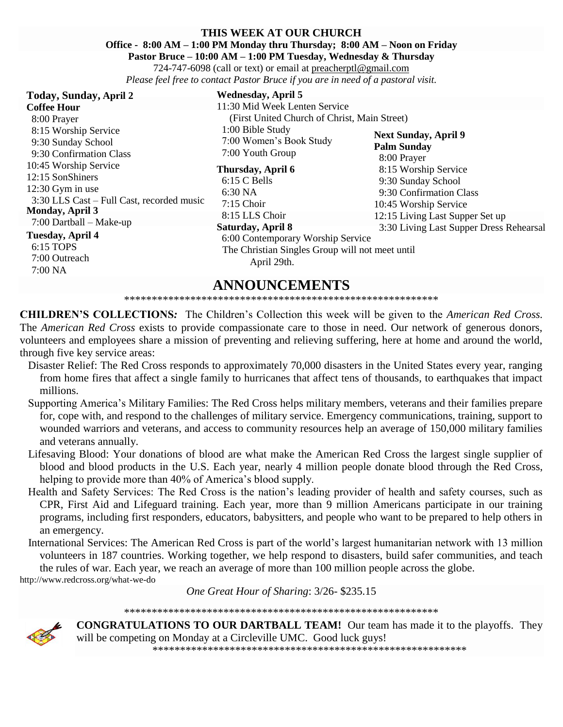## **THIS WEEK AT OUR CHURCH**

**Office - 8:00 AM – 1:00 PM Monday thru Thursday; 8:00 AM – Noon on Friday**

**Pastor Bruce – 10:00 AM – 1:00 PM Tuesday, Wednesday & Thursday**

724-747-6098 (call or text) or email at [preacherptl@gmail.com](mailto:preacherptl@gmail.com) *Please feel free to contact Pastor Bruce if you are in need of a pastoral visit.*

| Today, Sunday, April 2                    | <b>Wednesday</b> , Apri  |
|-------------------------------------------|--------------------------|
| <b>Coffee Hour</b>                        | 11:30 Mid Week L         |
| 8:00 Prayer                               | (First United Cl         |
| 8:15 Worship Service                      | 1:00 Bible Study         |
| 9:30 Sunday School                        | 7:00 Women's Bo          |
| 9:30 Confirmation Class                   | 7:00 Youth Group         |
| 10:45 Worship Service                     | Thursday, April 6        |
| 12:15 SonShiners                          | $6:15 \text{ C}$ Bells   |
| $12:30$ Gym in use                        | 6:30 NA                  |
| 3:30 LLS Cast – Full Cast, recorded music | $7:15$ Choir             |
| <b>Monday, April 3</b>                    | 8:15 LLS Choir           |
| $7:00$ Dartball – Make-up                 | <b>Saturday, April 8</b> |
| <b>Tuesday, April 4</b>                   | $6.00$ Contempora        |

 $6:15$  TOPS 7:00 Outreach 7:00 NA

#### **pril 5** ek Lenten Service d Church of Christ, Main Street)

1dy s Book Study roup

## ril 6

 6:00 Contemporary Worship Service The Christian Singles Group will not meet until April 29th.

**Next Sunday, April 9 Palm Sunday** 8:00 Prayer 8:15 Worship Service 9:30 Sunday School 9:30 Confirmation Class 10:45 Worship Service 12:15 Living Last Supper Set up 3:30 Living Last Supper Dress Rehearsal

**ANNOUNCEMENTS**

## \*\*\*\*\*\*\*\*\*\*\*\*\*\*\*\*\*\*\*\*\*\*\*\*\*\*\*\*\*\*\*\*\*\*\*\*\*\*\*\*\*\*\*\*\*\*\*\*\*\*\*\*\*\*\*\*\*

**CHILDREN'S COLLECTIONS***:* The Children's Collection this week will be given to the *American Red Cross.*  The *American Red Cross* exists to provide compassionate care to those in need. Our network of generous donors, volunteers and employees share a mission of preventing and relieving suffering, here at home and around the world, through five key service areas:

- Disaster Relief: The Red Cross responds to approximately 70,000 disasters in the United States every year, ranging from home fires that affect a single family to hurricanes that affect tens of thousands, to earthquakes that impact millions.
- Supporting America's Military Families: The Red Cross helps military members, veterans and their families prepare for, cope with, and respond to the challenges of military service. Emergency communications, training, support to wounded warriors and veterans, and access to community resources help an average of 150,000 military families and veterans annually.
- Lifesaving Blood: Your donations of blood are what make the American Red Cross the largest single supplier of blood and blood products in the U.S. Each year, nearly 4 million people donate blood through the Red Cross, helping to provide more than 40% of America's blood supply.
- Health and Safety Services: The Red Cross is the nation's leading provider of health and safety courses, such as CPR, First Aid and Lifeguard training. Each year, more than 9 million Americans participate in our training programs, including first responders, educators, babysitters, and people who want to be prepared to help others in an emergency.
- International Services: The American Red Cross is part of the world's largest humanitarian network with 13 million volunteers in 187 countries. Working together, we help respond to disasters, build safer communities, and teach the [rules of war.](http://www.redcross.org/rulesofwar) Each year, we reach an average of more than 100 million people across the globe. http://www.redcross.org/what-we-do

*One Great Hour of Sharing*: 3/26- \$235.15

\*\*\*\*\*\*\*\*\*\*\*\*\*\*\*\*\*\*\*\*\*\*\*\*\*\*\*\*\*\*\*\*\*\*\*\*\*\*\*\*\*\*\*\*\*\*\*\*\*\*\*\*\*\*\*\*\*



**CONGRATULATIONS TO OUR DARTBALL TEAM!** Our team has made it to the playoffs. They will be competing on Monday at a Circleville UMC. Good luck guys! \*\*\*\*\*\*\*\*\*\*\*\*\*\*\*\*\*\*\*\*\*\*\*\*\*\*\*\*\*\*\*\*\*\*\*\*\*\*\*\*\*\*\*\*\*\*\*\*\*\*\*\*\*\*\*\*\*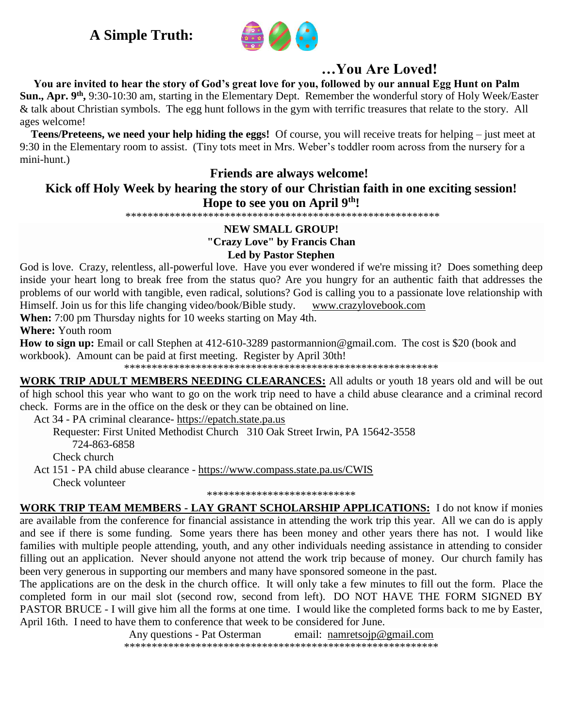# **A Simple Truth:**



# **…You Are Loved!**

 **You are invited to hear the story of God's great love for you, followed by our annual Egg Hunt on Palm**  Sun., Apr. 9<sup>th</sup>, 9:30-10:30 am, starting in the Elementary Dept. Remember the wonderful story of Holy Week/Easter & talk about Christian symbols. The egg hunt follows in the gym with terrific treasures that relate to the story. All ages welcome!

 **Teens/Preteens, we need your help hiding the eggs!** Of course, you will receive treats for helping – just meet at 9:30 in the Elementary room to assist. (Tiny tots meet in Mrs. Weber's toddler room across from the nursery for a mini-hunt.)

# **Friends are always welcome!**

# **Kick off Holy Week by hearing the story of our Christian faith in one exciting session! Hope to see you on April 9th!**

\*\*\*\*\*\*\*\*\*\*\*\*\*\*\*\*\*\*\*\*\*\*\*\*\*\*\*\*\*\*\*\*\*\*\*\*\*\*\*\*\*\*\*\*\*\*\*\*\*\*\*\*\*\*\*\*\*

# **NEW SMALL GROUP! "Crazy Love" by Francis Chan Led by Pastor Stephen**

God is love. Crazy, relentless, all-powerful love. Have you ever wondered if we're missing it? Does something deep inside your heart long to break free from the status quo? Are you hungry for an authentic faith that addresses the problems of our world with tangible, even radical, solutions? God is calling you to a passionate love relationship with Himself. Join us for this life changing video/book/Bible study. [www.crazylovebook.com](http://www.crazylovebook.com/)

**When:** 7:00 pm Thursday nights for 10 weeks starting on May 4th.

**Where:** Youth room

**How to sign up:** Email or call Stephen at 412-610-3289 [pastormannion@gmail.com.](javascript:window.top.ZmObjectManager.__doClickObject(document.getElementById(%22OBJ_PREFIX_DWT3470_com_zimbra_email%22));) The cost is \$20 (book and workbook). Amount can be paid at first meeting. Register by April 30th!

\*\*\*\*\*\*\*\*\*\*\*\*\*\*\*\*\*\*\*\*\*\*\*\*\*\*\*\*\*\*\*\*\*\*\*\*\*\*\*\*\*\*\*\*\*\*\*\*\*\*\*\*\*\*\*\*\*

**WORK TRIP ADULT MEMBERS NEEDING CLEARANCES:** All adults or youth 18 years old and will be out of high school this year who want to go on the work trip need to have a child abuse clearance and a criminal record check. Forms are in the office on the desk or they can be obtained on line.

Act 34 - PA criminal clearance- [https://epatch.state.pa.us](https://epatch.state.pa.us/)

Requester: First United Methodist Church 310 Oak Street Irwin, PA 15642-3558 724-863-6858 Check church

 Act 151 - PA child abuse clearance - <https://www.compass.state.pa.us/CWIS> Check volunteer

\*\*\*\*\*\*\*\*\*\*\*\*\*\*\*\*\*\*\*\*\*\*\*\*\*\*\*

**WORK TRIP TEAM MEMBERS - LAY GRANT SCHOLARSHIP APPLICATIONS:** I do not know if monies are available from the conference for financial assistance in attending the work trip this year. All we can do is apply and see if there is some funding. Some years there has been money and other years there has not. I would like families with multiple people attending, youth, and any other individuals needing assistance in attending to consider filling out an application. Never should anyone not attend the work trip because of money. Our church family has been very generous in supporting our members and many have sponsored someone in the past.

The applications are on the desk in the church office. It will only take a few minutes to fill out the form. Place the completed form in our mail slot (second row, second from left). DO NOT HAVE THE FORM SIGNED BY PASTOR BRUCE - I will give him all the forms at one time. I would like the completed forms back to me by Easter, April 16th. I need to have them to conference that week to be considered for June.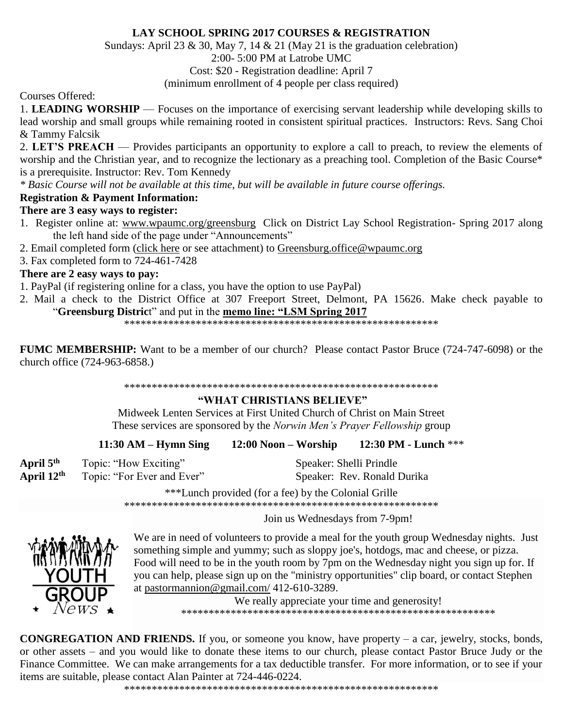# **LAY SCHOOL SPRING 2017 COURSES & REGISTRATION**

Sundays: April 23 & 30, May 7, 14 & 21 (May 21 is the graduation celebration)

# 2:00- 5:00 PM at Latrobe UMC

Cost: \$20 - Registration deadline: April 7

(minimum enrollment of 4 people per class required)

Courses Offered:

1. **LEADING WORSHIP** — Focuses on the importance of exercising servant leadership while developing skills to lead worship and small groups while remaining rooted in consistent spiritual practices. Instructors: Revs. Sang Choi & Tammy Falcsik

2. **LET'S PREACH** — Provides participants an opportunity to explore a call to preach, to review the elements of worship and the Christian year, and to recognize the lectionary as a preaching tool. Completion of the Basic Course\* is a prerequisite. Instructor: Rev. Tom Kennedy

*\* Basic Course will not be available at this time, but will be available in future course offerings.*

# **Registration & Payment Information:**

# **There are 3 easy ways to register:**

- 1. Register online at: [www.wpaumc.org/greensburg](http://www.wpaumc.org/!JNd9qGifJVjYalRMI6RKul5YYH+MRoRCvAqoAYQQUep-pY50IOtGIfc8lhHUOemeg) Click on District Lay School Registration- Spring 2017 along the left hand side of the page under "Announcements"
- 2. Email completed form [\(click here](https://wpa-email.brtapp.com/!FJAMlM5FUImki3SqqGLqASffP7dJoCN92kFGYYUerCNA5YUFOWx2lh7PjClvcApI0) or see attachment) to [Greensburg.office@wpaumc.org](mailto:Greensburg.office@wpaumc.org)
- 3. Fax completed form to 724-461-7428

# **There are 2 easy ways to pay:**

1. PayPal (if registering online for a class, you have the option to use PayPal)

2. Mail a check to the District Office at 307 Freeport Street, Delmont, PA 15626. Make check payable to "**Greensburg Distric**t" and put in the **memo line: "LSM Spring 2017**

\*\*\*\*\*\*\*\*\*\*\*\*\*\*\*\*\*\*\*\*\*\*\*\*\*\*\*\*\*\*\*\*\*\*\*\*\*\*\*\*\*\*\*\*\*\*\*\*\*\*\*\*\*\*\*\*\*

**FUMC MEMBERSHIP:** Want to be a member of our church? Please contact Pastor Bruce (724-747-6098) or the church office (724-963-6858.)

#### \*\*\*\*\*\*\*\*\*\*\*\*\*\*\*\*\*\*\*\*\*\*\*\*\*\*\*\*\*\*\*\*\*\*\*\*\*\*\*\*\*\*\*\*\*\*\*\*\*\*\*\*\*\*\*\*\*

# **"WHAT CHRISTIANS BELIEVE"**

Midweek Lenten Services at First United Church of Christ on Main Street These services are sponsored by the *Norwin Men's Prayer Fellowship* group

|  | $11:30$ AM – Hymn Sing | $12:00$ Noon – Worship | 12:30 PM - Lunch *** |
|--|------------------------|------------------------|----------------------|
|--|------------------------|------------------------|----------------------|

| April $5th$ | Topic: "How Exciting"      |
|-------------|----------------------------|
| April 12th  | Topic: "For Ever and Ever" |

Speaker: Shelli Prindle Speaker: Rev. Ronald Durika

\*\*\*Lunch provided (for a fee) by the Colonial Grille

\*\*\*\*\*\*\*\*\*\*\*\*\*\*\*\*\*\*\*\*\*\*\*\*\*\*\*\*\*\*\*\*\*\*\*\*\*\*\*\*\*\*\*\*\*\*\*\*\*\*\*\*\*\*\*\*\*

Join us Wednesdays from 7-9pm!



We are in need of volunteers to provide a meal for the youth group Wednesday nights. Just something simple and yummy; such as sloppy joe's, hotdogs, mac and cheese, or pizza. Food will need to be in the youth room by 7pm on the Wednesday night you sign up for. If you can help, please sign up on the "ministry opportunities" clip board, or contact Stephen at [pastormannion@gmail.com/](http://pastormannion@gmail.com/) 412-610-3289.

> We really appreciate your time and generosity! \*\*\*\*\*\*\*\*\*\*\*\*\*\*\*\*\*\*\*\*\*\*\*\*\*\*\*\*\*\*\*\*\*\*\*\*\*\*\*\*\*\*\*\*\*\*\*\*\*\*\*\*\*\*\*\*\*

**CONGREGATION AND FRIENDS.** If you, or someone you know, have property – a car, jewelry, stocks, bonds, or other assets – and you would like to donate these items to our church, please contact Pastor Bruce Judy or the Finance Committee. We can make arrangements for a tax deductible transfer. For more information, or to see if your items are suitable, please contact Alan Painter at 724-446-0224.